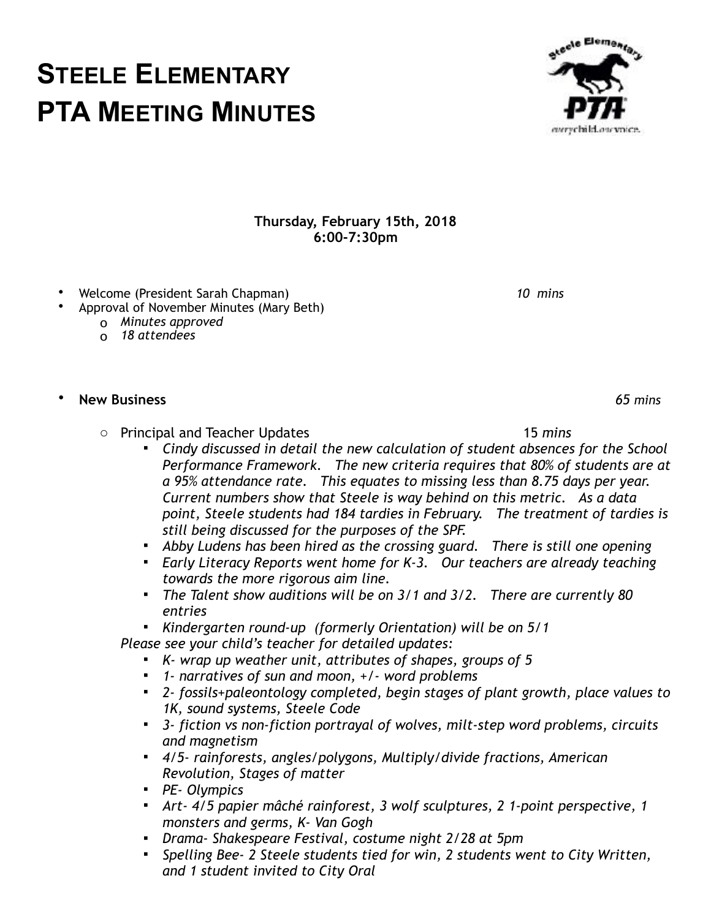## **Thursday, February 15th, 2018 6:00-7:30pm**

- Welcome (President Sarah Chapman) *10 mins*
- Approval of November Minutes (Mary Beth)
	- o *Minutes approved*
	- o *18 attendees*

## • **New Business** *65 mins*

- o Principal and Teacher Updates 15 *mins* 
	- *Cindy discussed in detail the new calculation of student absences for the School Performance Framework. The new criteria requires that 80% of students are at a 95% attendance rate. This equates to missing less than 8.75 days per year. Current numbers show that Steele is way behind on this metric. As a data point, Steele students had 184 tardies in February. The treatment of tardies is still being discussed for the purposes of the SPF.*
	- *Abby Ludens has been hired as the crossing guard. There is still one opening*
	- *Early Literacy Reports went home for K-3. Our teachers are already teaching towards the more rigorous aim line.*
	- *The Talent show auditions will be on 3/1 and 3/2. There are currently 80 entries*
	- *Kindergarten round-up (formerly Orientation) will be on 5/1*

 *Please see your child's teacher for detailed updates:* 

- *K- wrap up weather unit, attributes of shapes, groups of 5*
- *1- narratives of sun and moon, +/- word problems*
- *2- fossils+paleontology completed, begin stages of plant growth, place values to 1K, sound systems, Steele Code*
- *3- fiction vs non-fiction portrayal of wolves, milt-step word problems, circuits and magnetism*
- *4/5- rainforests, angles/polygons, Multiply/divide fractions, American Revolution, Stages of matter*
- *PE- Olympics*
- *Art- 4/5 papier mâché rainforest, 3 wolf sculptures, 2 1-point perspective, 1 monsters and germs, K- Van Gogh*
- *Drama- Shakespeare Festival, costume night 2/28 at 5pm*
- *Spelling Bee- 2 Steele students tied for win, 2 students went to City Written, and 1 student invited to City Oral*

**STEELE ELEMENTARY PTA MEETING MINUTES** etecle Elementar everychild ous voice.